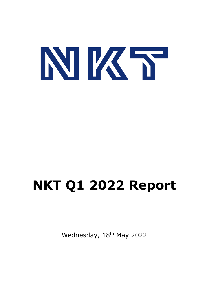

# **NKT Q1 2022 Report**

Wednesday, 18<sup>th</sup> May 2022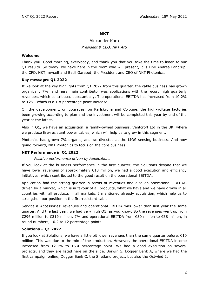# **NKT**

# Alexander Kara *President & CEO, NKT A/S*

## **Welcome**

Thank you. Good morning, everybody, and thank you that you take the time to listen to our Q1 results. So today, we have here in the room who will present, it is Line Andrea Fandrup, the CFO, NKT, myself and Basil Garabet, the President and CEO of NKT Photonics.

## **Key messages Q1 2022**

If we look at the key highlights from Q1 2022 from this quarter, the cable business has grown organically 7%, and here main contributor was applications with the record high quarterly revenues, which contributed substantially. The operational EBITDA has increased from 10.2% to 12%, which is a 1.8 percentage point increase.

On the development, on upgrades, on Karlskrona and Cologne, the high-voltage factories been growing according to plan and the investment will be completed this year by end of the year at the latest.

Also in Q1, we have an acquisition, a family-owned business, Ventcroft Ltd in the UK, where we produce fire-resistant power cables, which will help us to grow in this segment.

Photonics had grown 7% organic, and we divested at the LIOS sensing business. And now going forward, NKT Photonics to focus on the core business.

# **NKT Performance in Q1 2022**

## *Positive performance driven by Applications*

If you look at the business performance in the first quarter, the Solutions despite that we have lower revenues of approximately €10 million, we had a good execution and efficiency initiatives, which contributed to the good result on the operational EBITDA.

Application had the strong quarter in terms of revenues and also on operational EBITDA, driven by a market, which is in favour of all products, what we have and we have grown in all countries with all products in all markets. I mentioned already acquisition, which help us to strengthen our position in the fire-resistant cable.

Service & Accessories' revenues and operational EBITDA was lower than last year the same quarter. And the last year, we had very high Q1, as you know. So the revenues went up from €296 million to €319 million, 7% and operational EBITDA from €30 million to €38 million, in round numbers, 10.2 to 12 percentage points.

## **Solutions – Q1 2022**

If you look at Solutions, we have a little bit lower revenues than the same quarter before, €10 million. This was due to the mix of the production. However, the operational EBITDA income increased from 12.1% to 16.4 percentage point. We had a good execution on several projects, and they are listed here on the slide, Borwin 5, Dogger Bank A, where we had the first campaign online, Dogger Bank C, the Shetland project, but also the Ostwind 2.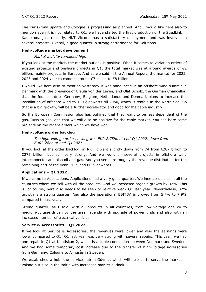The Karlskrona update and Cologne is progressing as planned. And I would like here also to mention even it is not related to Q1, we have started the first production of the SuedLink in Karlskrona just recently. NKT Victoria has a satisfactory deployment and was involved in several projects. Overall, a good quarter, a strong performance for Solutions.

# **High-voltage market development**

# *Market activity remained high*

If you look at the market, the market outlook is positive. When it comes to variation orders of existing projects and onshore projects in Q1, the total market was at around awards of  $\epsilon$ 2 billion, mainly projects in Europe. And as we said in the Annual Report, the market for 2022, 2023 and 2024 year to come is around €7 billion to €8 billion.

I would like here also to mention yesterday it was announced in an offshore wind summit in Denmark with the presence of Ursula von der Leyen, and Olaf Scholz, the German Chancellor, that the four countries Germany, Belgium, Netherlands and Denmark plans to increase the installation of offshore wind to 150 gigawatts till 2050, which is tenfold in the North Sea. So that is a big growth, will be a further accelerator and good for the cable industry.

So the European Commission also has outlined that they want to be less dependent of the gas, Russian gas, and that we will also be positive for the cable market. You see here some projects on the recent orders which we have won.

## **High-voltage order backlog**

# *The high-voltage order backlog was EUR 2.75bn at end-Q1 2022, down from EUR2.78bn at end-Q4 2021*

If you look at the order backlog, in NKT it went slightly down from Q4 from  $\epsilon$ 287 billion to €275 billion, but still very strong. And we work on several projects in offshore wind interconnector and also oil and gas. And you see here roughly the revenue distribution for the remaining part of the year, 20% and 80% onwards.

# **Applications – Q1 2022**

If we come to Applications, Applications had a very good quarter. We increased sales in all the countries where we sell with all the products. And we increased organic growth by 32%. This is, of course, here also needs to be seen to relative weak Q1 last year. Nevertheless, 32% growth is a strong quarter. And also the operational EBITDA improved from 5.7% to 7.9% compared to last year.

Strong quarter, as I said, with all products in all countries, from low-voltage one kV to medium-voltage driven by the green agenda with upgrade of power grids and also with an increased number of electrical vehicles.

# **Service & Accessories – Q1 2022**

If we look at Service & Accessories, the revenues were lower and also the earnings were lower compared to Q1. Q1 last year was very strong with several repairs. This year, we had one repair in Q1 at Kontiskan-2, which is a cable connection between Denmark and Sweden. And we had some temporary cost increase due to the transfer of high-voltage accessories from Germany, Cologne to Alingsås in Sweden.

We established a hub, the service hub in Gdynia, which will help us to serve the market in Poland but also in the Baltic with increased market outlook.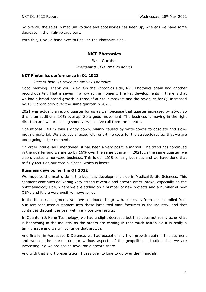So overall, the sales in medium voltage and accessories has been up, whereas we have some decrease in the high-voltage part.

With this, I would hand over to Basil on the Photonics side.

# **NKT Photonics**

Basil Garabet *President & CEO, NKT Photonics*

#### **NKT Photonics performance in Q1 2022**

#### *Record-high Q1 revenues for NKT Photonics*

Good morning. Thank you, Alex. On the Photonics side, NKT Photonics again had another record quarter. That is seven in a row at the moment. The key developments in there is that we had a broad-based growth in three of our four markets and the revenues for Q1 increased by 10% organically over the same quarter in 2021.

2021 was actually a record quarter for us as well because that quarter increased by 26%. So this is an additional 10% overlap. So a good movement. The business is moving in the right direction and we are seeing some very positive call from the market.

Operational EBITDA was slightly down, mainly caused by write-downs to obsolete and slowmoving material. We also got affected with one-time costs for the strategic review that we are undergoing at the moment.

On order intake, as I mentioned, it has been a very positive market. The trend has continued in the quarter and we are up by 16% over the same quarter in 2021. In the same quarter, we also divested a non-core business. This is our LIOS sensing business and we have done that to fully focus on our core business, which is lasers.

## **Business development in Q1 2022**

We move to the next slide in the business development side in Medical & Life Sciences. This segment continues delivering very strong revenue and growth order intake, especially on the ophthalmology side, where we are adding on a number of new projects and a number of new OEMs and it is a very positive move for us.

In the Industrial segment, we have continued the growth, especially from our hot rolled from our semiconductor customers into those large tool manufacturers in the industry, and that continues through the year with very positive results.

In Quantum & Nano Technology, we had a slight decrease but that does not really echo what is happening in the industry as the orders are coming in that much faster. So it is really a timing issue and we will continue that growth.

And finally, in Aerospace & Defence, we had exceptionally high growth again in this segment and we see the market due to various aspects of the geopolitical situation that we are increasing. So we are seeing favourable growth there.

And with that short presentation, I pass over to Line to go over the financials.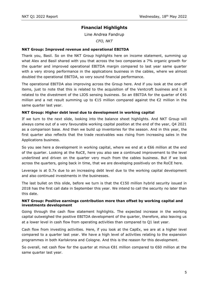# **Financial Highlights**

Line Andrea Fandrup

*CFO, NKT*

# **NKT Group: Improved revenue and operational EBITDA**

Thank you, Basil. So on the NKT Group highlights here on income statement, summing up what Alex and Basil shared with you that across the two companies a 7% organic growth for the quarter and improved operational EBITDA margin compared to last year same quarter with a very strong performance in the applications business in the cables, where we almost doubled the operational EBITDA, so very sound financial performance.

The operational EBITDA also improving across the Group here. And if you look at the one-off items, just to note that this is related to the acquisition of the Ventcroft business and it is related to the divestment of the LIOS sensing business. So an EBITDA for the quarter of €45 million and a net result summing up to  $€15$  million compared against the  $€2$  million in the same quarter last year.

## **NKT Group: Higher debt level due to development in working capital**

If we turn to the next slide, looking into the balance sheet highlights. And NKT Group will always come out of a very favourable working capital position at the end of the year, Q4 2021 as a comparison base. And then we build up inventories for the season. And in this year, the first quarter also reflects that the trade receivables was rising from increasing sales in the Applications business.

So you see here a development in working capital, where we end at a €66 million at the end of the quarter. Looking at the RoCE, here you also see a continued improvement to the level underlined and driven on the quarter very much from the cables business. But if we look across the quarters, going back in time, that we are developing positively on the RoCE here.

Leverage is at 0.7x due to an increasing debt level due to the working capital development and also continued investments in the businesses.

The last bullet on this slide, before we turn is that the  $E150$  million hybrid security issued in 2018 has the first call date in September this year. We intend to call the security no later than this date.

## **NKT Group: Positive earnings contribution more than offset by working capital and investments development**

Going through the cash flow statement highlights. The expected increase in the working capital outweighed the positive EBITDA development of the quarter, therefore, also leaving us at a lower level in cash flow from operating activities than compared to Q1 last year.

Cash flow from investing activities. Here, if you look at the CapEx, we are at a higher level compared to a quarter last year. We have a high level of activities relating to the expansion programmes in both Karlskrona and Cologne. And this is the reason for this development.

So overall, net cash flow for the quarter at minus €81 million compared to €60 million at the same quarter last year.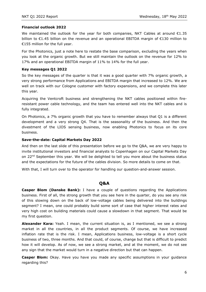## **Financial outlook 2022**

We maintained the outlook for the year for both companies, NKT Cables at around  $E1.35$ billion to €1.45 billion on the revenue and an operational EBITDA margin of €130 million to €155 million for the full year.

For the Photonics, just a note here to restate the base comparison, excluding the years when you look at the organic growth. But we still maintain the outlook on the revenue for 12% to 17% and an operational EBITDA margin of 11% to 14% for the full year.

## **Key messages Q1 2022**

So the key messages of the quarter is that it was a good quarter with 7% organic growth, a very strong performance from Applications and EBITDA margin that increased to 12%. We are well on track with our Cologne customer with factory expansions, and we complete this later this year.

Acquiring the Ventcroft business and strengthening the NKT cables positioned within fireresistant power cable technology, and the team has entered well into the NKT cables and is fully integrated.

On Photonics, a 7% organic growth that you have to remember always that Q1 is a different development and a very strong Q4. That is the seasonality of the business. And then the divestment of the LIOS sensing business, now enabling Photonics to focus on its core business.

## **Save-the-date: Capital Markets Day 2022**

And then on the last slide of this presentation before we go to the Q&A, we are very happy to invite institutional investors and financial analysts to Copenhagen on our Capital Markets Day on 22<sup>nd</sup> September this year. We will be delighted to tell you more about the business status and the expectations for the future of the cables division. So more details to come on that.

With that, I will turn over to the operator for handling our question-and-answer session.

# **Q&A**

**Casper Blom (Danske Bank):** I have a couple of questions regarding the Applications business. First of all, the strong growth that you see here in the quarter, do you see any risk of this slowing down on the back of low-voltage cables being delivered into the buildings segment? I mean, one could probably build some sort of case that higher interest rates and very high cost on building materials could cause a slowdown in that segment. That would be my first question.

**Alexander Kara:** Yeah. I mean, the current situation is, as I mentioned, we see a strong market in all the countries, in all the product segments. Of course, we have increased inflation rate that is the risk. I mean, Applications business, low-voltage is a short cycle business of two, three months. And that could, of course, change but that is difficult to predict how it will develop. As of now, we see a strong market, and at the moment, we do not see any sign that the market would turn in a negative direction but that can happen.

**Casper Blom:** Okay. Have you have you made any specific assumptions in your guidance regarding this?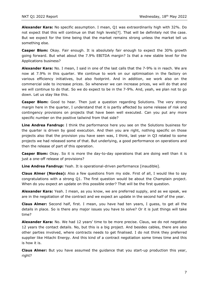**Alexander Kara:** No specific assumption. I mean, Q1 was extraordinarily high with 32%. Do not expect that this will continue on that high levels[?]. That will be definitely not the case. But we expect for the time being that the market remains strong unless the market tell us something else.

**Casper Blom:** Okay. Fair enough. It is absolutely fair enough to expect the 30% growth going forward. But what about the 7.9% EBITDA margin? Is that a new stable level for the Applications business?

**Alexander Kara:** No. I mean, I said in one of the last calls that the 7-9% is in reach. We are now at 7.9% in this quarter. We continue to work on our optimisation in the factory on various efficiency initiatives, but also footprint. And in addition, we work also on the commercial side to increase prices. So whenever we can increase prices, we will do that and we will continue to do that. So we do expect to be in the 7-9%. And, yeah, we plan not to go down. Let us stay like this.

**Casper Blom:** Good to hear. Then just a question regarding Solutions. The very strong margin here in the quarter, I understand that it is partly affected by some release of risk and contingency provisions on projects that have been well executed. Can you put any more specific number on the positive tailwind from that side?

**Line Andrea Fandrup:** I think the performance here you see on the Solutions business for the quarter is driven by good execution. And then you are right, nothing specific on those projects also that the provision you have seen was, I think, last year in Q3 related to some projects we had released some of that. But underlying, a good performance on operations and then the release of part of this operation.

**Casper Blom:** Okay. So it is more the day-to-day operations that are doing well than it is just a one-off release of provisions?

**Line Andrea Fandrup:** Yeah. It is operational-driven performance [inaudible].

**Claus Almer (Nordea):** Also a few questions from my side. First of all, I would like to say congratulations with a strong Q1. The first question would be about the Champlain project. When do you expect an update on this possible order? That will be the first question.

**Alexander Kara:** Yeah. I mean, as you know, we are preferred supply, and as we speak, we are in the negotiation of the contract and we expect an update in the second half of the year.

**Claus Almer:** Second half, first. I mean, you have had ten years, I guess, to get all the details in place. So is there any major issues you have to solve? Or it is just things will take time?

**Alexander Kara:** No. We had 12 years' time to be more precise. Claus, we do not negotiate 12 years the contact details. No, but this is a big project. And besides cables, there are also other parties involved, where contracts needs to get finalised. I do not think they preferred supplier like Hitachi Energy. And this kind of a contract negotiation some times time and this is how it is.

**Claus Almer:** But you have assumed the guidance that you start-up production this year, right?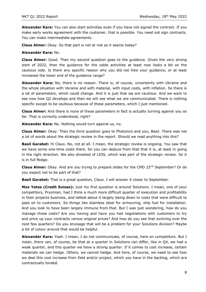**Alexander Kara:** You can also start activities even if you have not signed the contract. If you make early works agreement with the customer, that is possible. You need not sign contracts. You can make intermediate agreements.

**Claus Almer:** Okay. So that part is not at risk as it seems today?

#### **Alexander Kara:** No.

**Claus Almer:** Good. Then my second question goes to the guidance. Given the very strong start of 2022, then the guidance for the cable activities at least now looks a bit on the cautious side. Is there any specific reason why you did not hike your guidance, or at least increased the lower end of the guidance range?

**Alexander Kara:** No, there is no reason. There is, of course, uncertainty with Ukraine and the whole situation with Ukraine and with material, with input costs, with inflation. So there is a lot of parameters, which could change. And it is just that we are cautious. And we want to see now how Q2 develops and then we will see what we are communicated. There is nothing specific except to be cautious because of these parameters, which I just mentioned.

**Claus Almer:** And there is none of these parameters in fact is actually turning against you so far. That is correctly understood, right?

**Alexander Kara:** No. Nothing would turn against us, no.

**Claus Almer:** Okay. Then the third question goes to Photonics and you, Basil. There was not a lot of words about the strategic review in the report. Should we read anything into this?

**Basil Garabet:** Hi Claus. No, not at all. I mean, the strategic review is ongoing. You saw that we have some one-time costs there. So you can deduce from that that it is, at least in going in the right direction. We also divested of LIOS, which was part of the strategic review. So it is in full fledge.

**Claus Almer:** Okay. And are you trying to prepare slides for the CMD 22nd September? Or do you expect not to be part of that?

**Basil Garabet:** That is a great question, Claus. I will answer it closer to September.

**Max Yates (Credit Suisse):** Just my first question is around Solutions. I mean, one of your competitors, Prysmian, had I think a much more difficult quarter of execution and profitability in their projects business, and talked about it largely being down to costs that were difficult to pass on to customers. So things like stainless steel for armouring, ship fuel for installation. And you look to have been largely immune from that. But I was just wondering, how do you manage those costs? Are you having and have you had negotiations with customers to try and price up your contracts versus original prices? And how do you see that evolving over the next few quarters? Do you envisage that will be a problem for your Solutions division? Maybe a bit of colour around that would be helpful.

**Alexander Kara:** Yeah. I mean, I do not communicate, of course, here on competitors. But I mean, there can, of course, be that at a quarter in Solutions can differ, like in Q4, we had a weak quarter, and this quarter we have a strong quarter. If it comes to cost increase, certain materials we can hedge. Others, we cannot hedge. And here, of course, we need to see how we deal this cost increase from field and/or project, which you have in the backlog, which are contractually binded.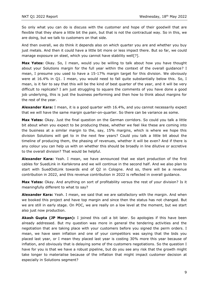So only what you can do is discuss with the customer and hope of their goodwill that are flexible that they share a little bit the pain, but that is not the contractual way. So in this, we are doing, but we talk to customers on that side.

And then overall, we do think it depends also on which quarter you are and whether you buy just metals. And then it could have a little bit more or less impact there. But so far, we could manage exposure on steel, which you cannot have stability well[?].

**Max Yates:** Okay. So, I mean, would you be willing to talk about how you have thought about your Solutions margin for the full year within the context of the overall guidance? I mean, I presume you used to have a 15-17% margin target for this division. We obviously were at 16.4% in Q1. I mean, you would need to fall quite substantially below this. So, I mean, is it fair to say that this will be the kind of best quarter of the year, and it will be very difficult to replicate? I am just struggling to square the comments of you have done a good job underlying, this is just the business performing and then how to think about margins for the rest of the year.

**Alexander Kara:** I mean, it is a good quarter with 16.4%, and you cannot necessarily expect that we will have the same margin quarter-on-quarter. So there can be variance as some.

**Max Yates:** Okay. Just the final question on the German corridors. So could you talk a little bit about when you expect to be producing these, whether we feel like these are coming into the business at a similar margin to the, say, 15% margins, which is where we hope this division Solutions will get to in the next few years? Could you talk a little bit about the timeline of producing them, the phasing of revenues, whether it will be even? And if there is any colour you can help us with on whether this should be broadly in line dilutive or accretive to the overall division? That would be helpful.

**Alexander Kara:** Yeah. I mean, we have announced that we start production of the first cables for SuedLink in Karlskrona and we will continue in the second half. And we also plan to start with SuedOstLink towards end of Q2 in Cologne. And so, there will be a revenue contribution in 2022, and this revenue contribution in 2022 is reflected in overall guidance.

**Max Yates:** Okay. And anything on sort of profitability versus the rest of your division? Is it meaningfully different to what to say?

**Alexander Kara:** Yeah. I mean, we said that we are satisfactory with the margin. And when we booked this project and have top margin and since then the status has not changed. But we are still in early stage. On POC, we are really on a low level at the moment, but we start also just now production.

**Akash Gupta (JP Morgan):** I joined this call a bit later. So apologies if this have been already addressed. But my question was more in general the tendering activities and the negotiation that are taking place with your customers before you signed the perm orders. I mean, we have seen inflation and one of your competitors was saying that the bids you placed last year, or I mean they placed last year is costing 30% more this year because of inflation, and obviously that is delaying some of the customers negotiations. So the question I have for you is that we have a robust pipeline, but do you see any risk that the growth might take longer to materialise because of the inflation that might impact customer decision at especially in Solutions segment?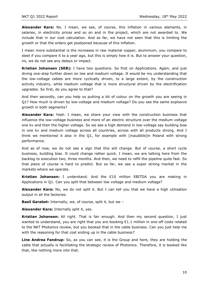**Alexander Kara:** No. I mean, we see, of course, this inflation in various elements, in salaries, in electricity prices and so on and in the project, which are not awarded to. We include that in our cost calculation. And so far, we have not seen that this is limiting the growth or that the orders get postponed because of this inflation.

I mean more substantial is the increases in raw material copper, aluminium, you compare to steel if you compare it to a year ago, but this is simply how it is. But to answer your question, no, we do not see any delays or impact.

**Kristian Johansen (SEB):** I have two questions. So first on Applications. Again, and just diving one-step further down on low and medium voltage. It would be my understanding that the low-voltage cables are more cyclically driven, to a large extent, by the construction activity industry, while medium voltage that is more structural driven by the electrification upgrades. So first, do you agree to that?

And then secondly, can you help us putting a bit of colour on the growth you are seeing in Q1? How much is driven by low-voltage and medium voltage? Do you see the same explosive growth in both segments?

**Alexander Kara:** Yeah. I mean, we share your view with the construction business that influence the low-voltage business and more of an electric structure over the medium voltage one kv and then the higher voltage. So we see a high demand in low-voltage say building bias in one kv and medium voltage across all countries, across with all products strong. And I think we mentioned it also in the Q1, for example with [inaudible]in Poland with strong performance.

And as of now, we do not see a sign that this will change. But of course, a short cycle business, building bias. It could change rather quick. I mean, we are talking here from the backlog to execution two, three months. And then, we need to refill the pipeline quite fast. So that piece of course is hard to predict. But so far, we see a super strong market in the markets where we operate.

**Kristian Johansen:** I understand. And the €10 million EBITDA you are making in Applications in Q1. Can you split that between low voltage and medium voltage?

**Alexander Kara:** No, we do not split it. But I can tell you that we have a high utilisation output in all the factories.

**Basil Garabet:** Internally, we, of course, split it, but we –

**Alexander Kara:** Internally split it, yes.

**Kristian Johansen:** All right. That is fair enough. And then my second question, I just wanted to understand, you are right that you are booking €1.1 million in one-off costs related to the NKT Photonics review, but you booked that in the cable business. Can you just help me with the reasoning for that cost ending up in the cable business?

**Line Andrea Fandrup:** So, as you can see, it is the Group and here, they are holding the cable that actually is facilitating the strategic review of Photonics. Therefore, it is booked like that, like nothing more into that.